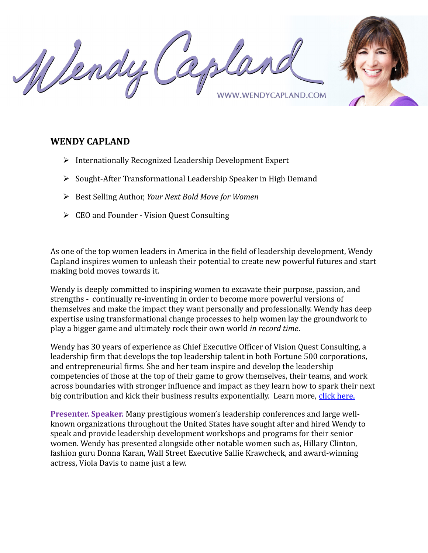Wendy **WENDYCAPLAND.COM** 

## **WENDY CAPLAND**

- $\triangleright$  Internationally Recognized Leadership Development Expert
- $\triangleright$  Sought-After Transformational Leadership Speaker in High Demand
- Best Selling Author, *Your Next Bold Move for Women*
- CEO and Founder Vision Quest Consulting

As one of the top women leaders in America in the field of leadership development, Wendy Capland inspires women to unleash their potential to create new powerful futures and start making bold moves towards it.

Wendy is deeply committed to inspiring women to excavate their purpose, passion, and strengths - continually re-inventing in order to become more powerful versions of themselves and make the impact they want personally and professionally. Wendy has deep expertise using transformational change processes to help women lay the groundwork to play a bigger game and ultimately rock their own world *in record time*.

Wendy has 30 years of experience as Chief Executive Officer of Vision Quest Consulting, a leadership firm that develops the top leadership talent in both Fortune 500 corporations, and entrepreneurial firms. She and her team inspire and develop the leadership competencies of those at the top of their game to grow themselves, their teams, and work across boundaries with stronger influence and impact as they learn how to spark their next big contribution and kick their business results exponentially. Learn more, [click here.](https://visionquestconsulting.com/)

**Presenter. Speaker.** Many prestigious women's leadership conferences and large wellknown organizations throughout the United States have sought after and hired Wendy to speak and provide leadership development workshops and programs for their senior women. Wendy has presented alongside other notable women such as, Hillary Clinton, fashion guru Donna Karan, Wall Street Executive Sallie Krawcheck, and award-winning actress, Viola Davis to name just a few.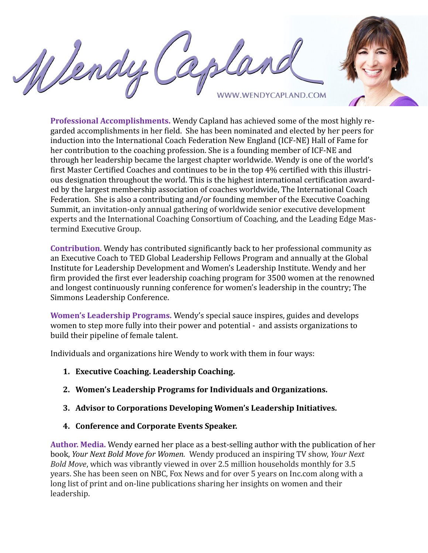Wendy **WENDYCAPLAND.COM** 



**Professional Accomplishments.** Wendy Capland has achieved some of the most highly regarded accomplishments in her field. She has been nominated and elected by her peers for induction into the International Coach Federation New England (ICF-NE) Hall of Fame for her contribution to the coaching profession. She is a founding member of ICF-NE and through her leadership became the largest chapter worldwide. Wendy is one of the world's first Master Certified Coaches and continues to be in the top 4% certified with this illustrious designation throughout the world. This is the highest international certification awarded by the largest membership association of coaches worldwide, The International Coach Federation. She is also a contributing and/or founding member of the Executive Coaching Summit, an invitation-only annual gathering of worldwide senior executive development experts and the International Coaching Consortium of Coaching, and the Leading Edge Mastermind Executive Group.

**Contribution**. Wendy has contributed significantly back to her professional community as an Executive Coach to TED Global Leadership Fellows Program and annually at the Global Institute for Leadership Development and Women's Leadership Institute. Wendy and her firm provided the first ever leadership coaching program for 3500 women at the renowned and longest continuously running conference for women's leadership in the country; The Simmons Leadership Conference.

**Women's Leadership Programs.** Wendy's special sauce inspires, guides and develops women to step more fully into their power and potential - and assists organizations to build their pipeline of female talent.

Individuals and organizations hire Wendy to work with them in four ways:

- **1. Executive Coaching. Leadership Coaching.**
- **2. Women's Leadership Programs for Individuals and Organizations.**
- **3. Advisor to Corporations Developing Women's Leadership Initiatives.**
- **4. Conference and Corporate Events Speaker.**

**Author. Media.** Wendy earned her place as a best-selling author with the publication of her book, *Your Next Bold Move for Women.* Wendy produced an inspiring TV show, *Your Next Bold Move*, which was vibrantly viewed in over 2.5 million households monthly for 3.5 years. She has been seen on NBC, Fox News and for over 5 years on Inc.com along with a long list of print and on-line publications sharing her insights on women and their leadership.